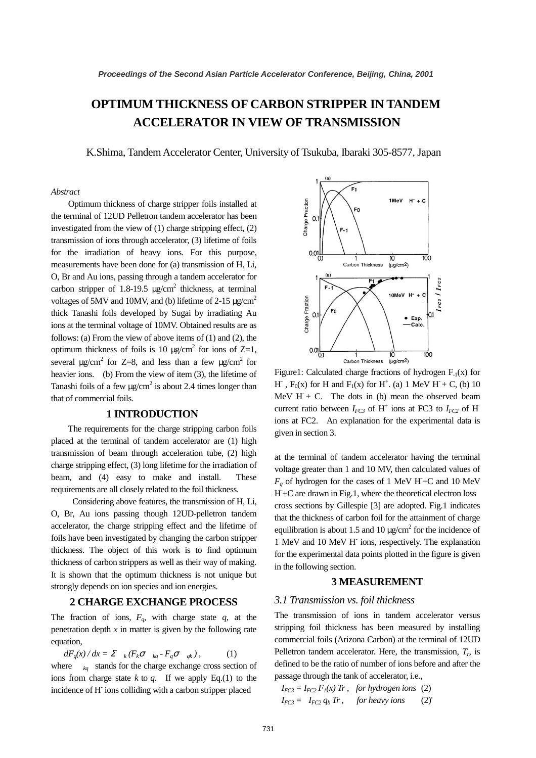# **OPTIMUM THICKNESS OF CARBON STRIPPER IN TANDEM ACCELERATOR IN VIEW OF TRANSMISSION**

K.Shima, Tandem Accelerator Center, University of Tsukuba, Ibaraki 305-8577, Japan

#### *Abstract*

Optimum thickness of charge stripper foils installed at the terminal of 12UD Pelletron tandem accelerator has been investigated from the view of (1) charge stripping effect, (2) transmission of ions through accelerator, (3) lifetime of foils for the irradiation of heavy ions. For this purpose, measurements have been done for (a) transmission of H, Li, O, Br and Au ions, passing through a tandem accelerator for carbon stripper of 1.8-19.5  $\mu$ g/cm<sup>2</sup> thickness, at terminal voltages of 5MV and 10MV, and (b) lifetime of 2-15  $\mu$ g/cm<sup>2</sup> thick Tanashi foils developed by Sugai by irradiating Au ions at the terminal voltage of 10MV. Obtained results are as follows: (a) From the view of above items of (1) and (2), the optimum thickness of foils is 10  $\mu$ g/cm<sup>2</sup> for ions of Z=1, several  $\mu$ g/cm<sup>2</sup> for Z=8, and less than a few  $\mu$ g/cm<sup>2</sup> for heavier ions. (b) From the view of item (3), the lifetime of Tanashi foils of a few  $\mu$ g/cm<sup>2</sup> is about 2.4 times longer than that of commercial foils.

## **1 INTRODUCTION**

The requirements for the charge stripping carbon foils placed at the terminal of tandem accelerator are (1) high transmission of beam through acceleration tube, (2) high charge stripping effect, (3) long lifetime for the irradiation of beam, and (4) easy to make and install. These requirements are all closely related to the foil thickness.

Considering above features, the transmission of H, Li, O, Br, Au ions passing though 12UD-pelletron tandem accelerator, the charge stripping effect and the lifetime of foils have been investigated by changing the carbon stripper thickness. The object of this work is to find optimum thickness of carbon strippers as well as their way of making. It is shown that the optimum thickness is not unique but strongly depends on ion species and ion energies.

#### **2 CHARGE EXCHANGE PROCESS**

The fraction of ions,  $F_q$ , with charge state  $q$ , at the penetration depth  $x$  in matter is given by the following rate equation,

$$
dF_q(x)/dx = \sum_{k} (F_k \sigma_{kq} - F_q \sigma_{qk}),
$$
 (1)  
where  $k_q$  stands for the charge exchange cross section of  
ions from charge state *k* to *q*. If we apply Eq.(1) to the  
incidence of H ions colliding with a carbon stripped placed



Figure1: Calculated charge fractions of hydrogen  $F_{-1}(x)$  for H,  $F_0(x)$  for H and  $F_1(x)$  for H<sup>+</sup>. (a) 1 MeV H + C, (b) 10 MeV  $H + C$ . The dots in (b) mean the observed beam current ratio between  $I_{FC3}$  of H<sup>+</sup> ions at FC3 to  $I_{FC2}$  of H ions at FC2. An explanation for the experimental data is given in section 3.

at the terminal of tandem accelerator having the terminal voltage greater than 1 and 10 MV, then calculated values of  $F_q$  of hydrogen for the cases of 1 MeV H+C and 10 MeV H- +C are drawn in Fig.1, where the theoretical electron loss cross sections by Gillespie [3] are adopted. Fig.1 indicates that the thickness of carbon foil for the attainment of charge equilibration is about 1.5 and 10  $\mu$ g/cm<sup>2</sup> for the incidence of 1 MeV and 10 MeV H- ions, respectively. The explanation for the experimental data points plotted in the figure is given in the following section.

#### **3 MEASUREMENT**

#### *3.1 Transmission vs. foil thickness*

The transmission of ions in tandem accelerator versus stripping foil thickness has been measured by installing commercial foils (Arizona Carbon) at the terminal of 12UD Pelletron tandem accelerator. Here, the transmission,  $T_r$ , is defined to be the ratio of number of ions before and after the passage through the tank of accelerator, i.e.,

 $I_{FC3} = I_{FC2} F_I(x)$  *Tr*, *for hydrogen ions* (2)  $I_{FC3} = I_{FC2} q_b Tr$ , *for heavy ions* (2)'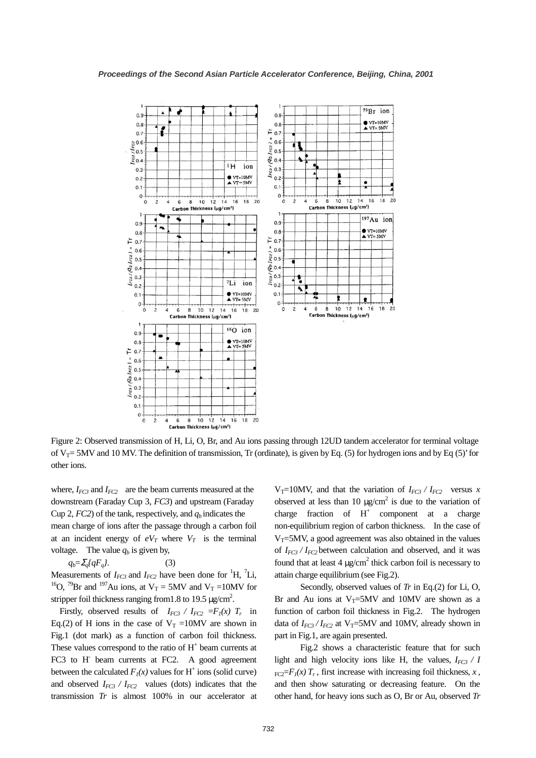

Figure 2: Observed transmission of H, Li, O, Br, and Au ions passing through 12UD tandem accelerator for terminal voltage of  $V_T$ = 5MV and 10 MV. The definition of transmission, Tr (ordinate), is given by Eq. (5) for hydrogen ions and by Eq (5)' for other ions.

where,  $I_{FC3}$  and  $I_{FC2}$  are the beam currents measured at the downstream (Faraday Cup 3, *FC3*) and upstream (Faraday Cup 2,  $FC2$ ) of the tank, respectively, and  $q_b$  indicates the mean charge of ions after the passage through a carbon foil at an incident energy of  $eV_T$  where  $V_T$  is the terminal voltage. The value  $q_b$  is given by,

 $q_b = \sum_a \{qF_a\}.$  (3)

Measurements of  $I_{FC3}$  and  $I_{FC2}$  have been done for <sup>1</sup>H, <sup>7</sup>Li, <sup>16</sup>O, <sup>79</sup>Br and <sup>197</sup>Au ions, at  $V_T = 5MV$  and  $V_T = 10MV$  for stripper foil thickness ranging from 1.8 to 19.5  $\mu$ g/cm<sup>2</sup>.

Firstly, observed results of  $I_{FC3}$  /  $I_{FC2}$  = $F_1(x)$   $T_r$  in Eq.(2) of H ions in the case of  $V_T = 10MV$  are shown in Fig.1 (dot mark) as a function of carbon foil thickness. These values correspond to the ratio of  $H<sup>+</sup>$  beam currents at FC3 to H<sup>-</sup> beam currents at FC2. A good agreement between the calculated  $F_I(x)$  values for H<sup>+</sup> ions (solid curve) and observed  $I_{FC3}$  /  $I_{FC2}$  values (dots) indicates that the transmission *Tr* is almost 100% in our accelerator at  $V_T=10MV$ , and that the variation of  $I_{FC3}$  /  $I_{FC2}$  versus *x* observed at less than 10  $\mu$ g/cm<sup>2</sup> is due to the variation of charge fraction of  $H^+$  component at a charge non-equilibrium region of carbon thickness. In the case of  $V_T$ =5MV, a good agreement was also obtained in the values of  $I_{FC3}$  /  $I_{FC2}$  between calculation and observed, and it was found that at least 4  $\mu$ g/cm<sup>2</sup> thick carbon foil is necessary to attain charge equilibrium (see Fig.2).

Secondly, observed values of *Tr* in Eq.(2) for Li, O, Br and Au ions at  $V_T = 5MV$  and 10MV are shown as a function of carbon foil thickness in Fig.2. The hydrogen data of  $I_{FC3}/I_{FC2}$  at V<sub>T</sub>=5MV and 10MV, already shown in part in Fig.1, are again presented.

Fig.2 shows a characteristic feature that for such light and high velocity ions like H, the values,  $I_{FC3}$  / *I*  $_{\text{FC2}}=F_I(x)T_r$ , first increase with increasing foil thickness, *x*, and then show saturating or decreasing feature. On the other hand, for heavy ions such as O, Br or Au, observed *Tr*